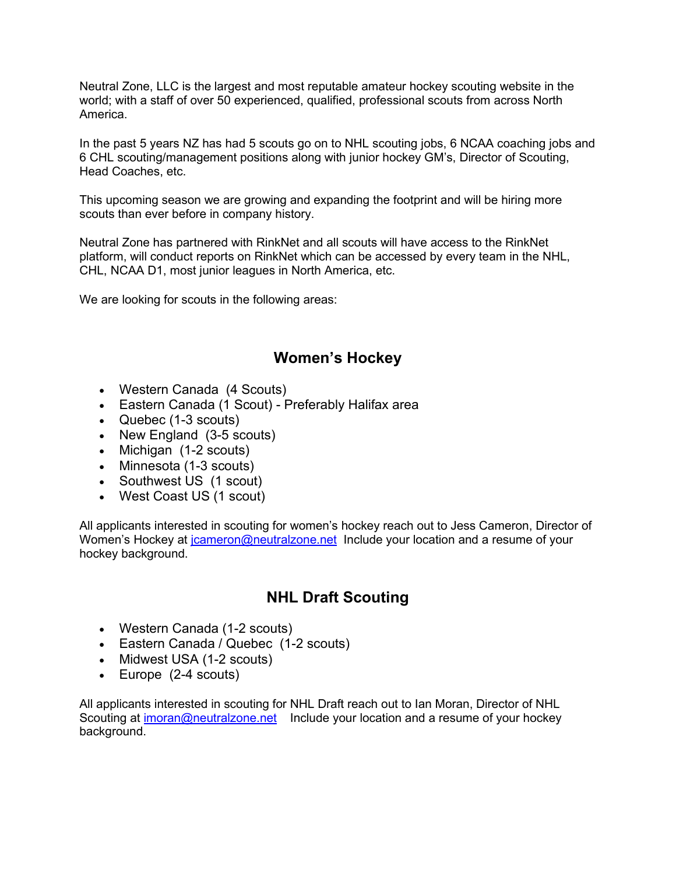Neutral Zone, LLC is the largest and most reputable amateur hockey scouting website in the world; with a staff of over 50 experienced, qualified, professional scouts from across North America.

In the past 5 years NZ has had 5 scouts go on to NHL scouting jobs, 6 NCAA coaching jobs and 6 CHL scouting/management positions along with junior hockey GM's, Director of Scouting, Head Coaches, etc.

This upcoming season we are growing and expanding the footprint and will be hiring more scouts than ever before in company history.

Neutral Zone has partnered with RinkNet and all scouts will have access to the RinkNet platform, will conduct reports on RinkNet which can be accessed by every team in the NHL, CHL, NCAA D1, most junior leagues in North America, etc.

We are looking for scouts in the following areas:

### **Women's Hockey**

- Western Canada (4 Scouts)
- Eastern Canada (1 Scout) Preferably Halifax area
- Quebec (1-3 scouts)
- New England (3-5 scouts)
- Michigan (1-2 scouts)
- Minnesota (1-3 scouts)
- Southwest US (1 scout)
- West Coast US (1 scout)

All applicants interested in scouting for women's hockey reach out to Jess Cameron, Director of Women's Hockey at joameron@neutralzone.net Include your location and a resume of your hockey background.

## **NHL Draft Scouting**

- Western Canada (1-2 scouts)
- Eastern Canada / Quebec (1-2 scouts)
- Midwest USA (1-2 scouts)
- Europe (2-4 scouts)

All applicants interested in scouting for NHL Draft reach out to Ian Moran, Director of NHL Scouting at [imoran@neutralzone.net](mailto:imoran@neutralzone.net) Include your location and a resume of your hockey background.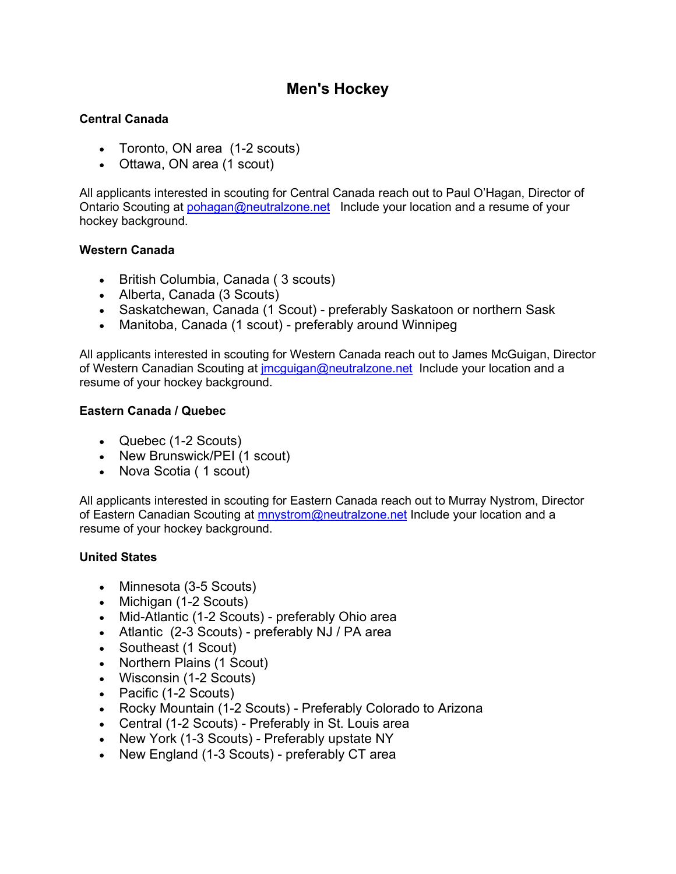# **Men's Hockey**

#### **Central Canada**

- Toronto, ON area (1-2 scouts)
- Ottawa, ON area (1 scout)

All applicants interested in scouting for Central Canada reach out to Paul O'Hagan, Director of Ontario Scouting at [pohagan@neutralzone.net](mailto:pohagan@neutralzone.net) Include your location and a resume of your hockey background.

#### **Western Canada**

- British Columbia, Canada ( 3 scouts)
- Alberta, Canada (3 Scouts)
- Saskatchewan, Canada (1 Scout) preferably Saskatoon or northern Sask
- Manitoba, Canada (1 scout) preferably around Winnipeg

All applicants interested in scouting for Western Canada reach out to James McGuigan, Director of Western Canadian Scouting at [jmcguigan@neutralzone.net](mailto:jmcguigan@neutralzone.net) Include your location and a resume of your hockey background.

#### **Eastern Canada / Quebec**

- Quebec (1-2 Scouts)
- New Brunswick/PEI (1 scout)
- Nova Scotia (1 scout)

All applicants interested in scouting for Eastern Canada reach out to Murray Nystrom, Director of Eastern Canadian Scouting at **[mnystrom@neutralzone.net](mailto:mnystrom@neutralzone.net)** Include your location and a resume of your hockey background.

### **United States**

- Minnesota (3-5 Scouts)
- Michigan (1-2 Scouts)
- Mid-Atlantic (1-2 Scouts) preferably Ohio area
- Atlantic (2-3 Scouts) preferably NJ / PA area
- Southeast (1 Scout)
- Northern Plains (1 Scout)
- Wisconsin (1-2 Scouts)
- Pacific (1-2 Scouts)
- Rocky Mountain (1-2 Scouts) Preferably Colorado to Arizona
- Central (1-2 Scouts) Preferably in St. Louis area
- New York (1-3 Scouts) Preferably upstate NY
- New England (1-3 Scouts) preferably CT area